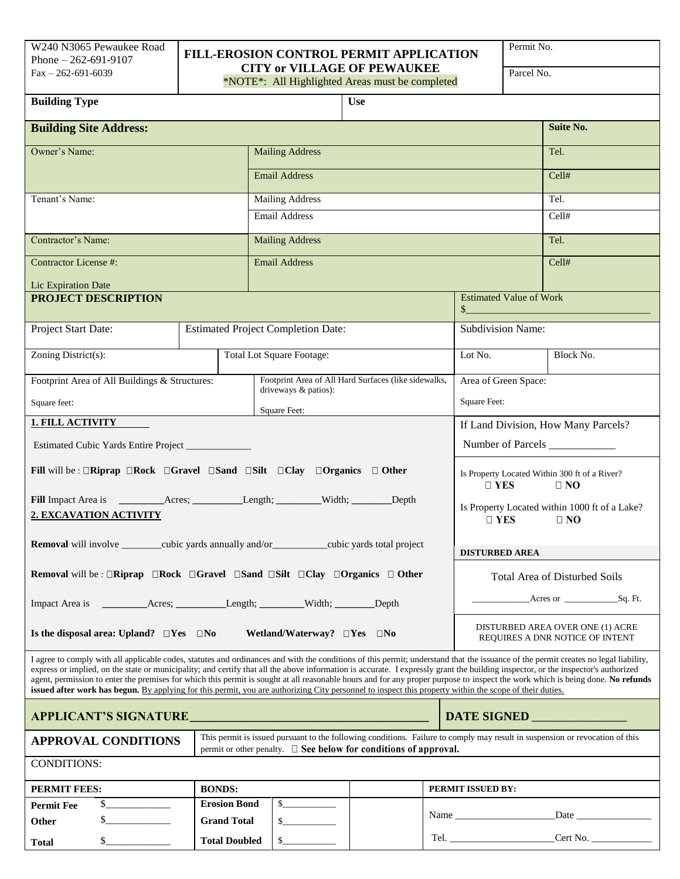ֺ֝֡

## Phone – 262-691-9107 **FILL-EROSION CONTROL PERMIT APPLICATION** Fax – 262-691-6039<br>
Fax – 262-691-6039 **CITY or VILLAGE OF PEWAUKEE**

\*NOTE\*: All Highlighted Areas must be completed

Permit No.

| <b>Building Type</b>                                                                                                                                                                                                                                                                                                                                                                                                                                                                                                                                                                                                                                                                                                  |  |                                           |                                  | <b>Use</b>                                           |                                                                                                                                                                                                               |                                                               |  |
|-----------------------------------------------------------------------------------------------------------------------------------------------------------------------------------------------------------------------------------------------------------------------------------------------------------------------------------------------------------------------------------------------------------------------------------------------------------------------------------------------------------------------------------------------------------------------------------------------------------------------------------------------------------------------------------------------------------------------|--|-------------------------------------------|----------------------------------|------------------------------------------------------|---------------------------------------------------------------------------------------------------------------------------------------------------------------------------------------------------------------|---------------------------------------------------------------|--|
| <b>Building Site Address:</b>                                                                                                                                                                                                                                                                                                                                                                                                                                                                                                                                                                                                                                                                                         |  |                                           |                                  |                                                      |                                                                                                                                                                                                               | <b>Suite No.</b>                                              |  |
| Owner's Name:                                                                                                                                                                                                                                                                                                                                                                                                                                                                                                                                                                                                                                                                                                         |  |                                           | <b>Mailing Address</b>           |                                                      |                                                                                                                                                                                                               | Tel.                                                          |  |
|                                                                                                                                                                                                                                                                                                                                                                                                                                                                                                                                                                                                                                                                                                                       |  |                                           | <b>Email Address</b>             |                                                      |                                                                                                                                                                                                               | Cell#                                                         |  |
| Tenant's Name:                                                                                                                                                                                                                                                                                                                                                                                                                                                                                                                                                                                                                                                                                                        |  |                                           | <b>Mailing Address</b>           |                                                      |                                                                                                                                                                                                               | Tel.                                                          |  |
|                                                                                                                                                                                                                                                                                                                                                                                                                                                                                                                                                                                                                                                                                                                       |  |                                           | <b>Email Address</b>             |                                                      |                                                                                                                                                                                                               | Cell#                                                         |  |
| Contractor's Name:                                                                                                                                                                                                                                                                                                                                                                                                                                                                                                                                                                                                                                                                                                    |  |                                           | <b>Mailing Address</b>           |                                                      |                                                                                                                                                                                                               | Tel.                                                          |  |
| <b>Contractor License #:</b>                                                                                                                                                                                                                                                                                                                                                                                                                                                                                                                                                                                                                                                                                          |  |                                           | <b>Email Address</b>             |                                                      |                                                                                                                                                                                                               | Cell#                                                         |  |
| Lic Expiration Date                                                                                                                                                                                                                                                                                                                                                                                                                                                                                                                                                                                                                                                                                                   |  |                                           |                                  |                                                      | <b>Estimated Value of Work</b>                                                                                                                                                                                |                                                               |  |
| PROJECT DESCRIPTION                                                                                                                                                                                                                                                                                                                                                                                                                                                                                                                                                                                                                                                                                                   |  |                                           |                                  |                                                      |                                                                                                                                                                                                               | $\sim$                                                        |  |
| Project Start Date:                                                                                                                                                                                                                                                                                                                                                                                                                                                                                                                                                                                                                                                                                                   |  | <b>Estimated Project Completion Date:</b> |                                  |                                                      |                                                                                                                                                                                                               | <b>Subdivision Name:</b>                                      |  |
| Zoning District(s):                                                                                                                                                                                                                                                                                                                                                                                                                                                                                                                                                                                                                                                                                                   |  |                                           | <b>Total Lot Square Footage:</b> |                                                      | Lot No.                                                                                                                                                                                                       | Block No.                                                     |  |
| Footprint Area of All Buildings & Structures:                                                                                                                                                                                                                                                                                                                                                                                                                                                                                                                                                                                                                                                                         |  |                                           | driveways & patios):             | Footprint Area of All Hard Surfaces (like sidewalks, | Area of Green Space:                                                                                                                                                                                          |                                                               |  |
| Square feet:                                                                                                                                                                                                                                                                                                                                                                                                                                                                                                                                                                                                                                                                                                          |  |                                           | Square Feet:                     |                                                      | Square Feet:                                                                                                                                                                                                  |                                                               |  |
| <b>1. FILL ACTIVITY</b>                                                                                                                                                                                                                                                                                                                                                                                                                                                                                                                                                                                                                                                                                               |  |                                           |                                  |                                                      |                                                                                                                                                                                                               | If Land Division, How Many Parcels?                           |  |
| Estimated Cubic Yards Entire Project                                                                                                                                                                                                                                                                                                                                                                                                                                                                                                                                                                                                                                                                                  |  |                                           |                                  |                                                      |                                                                                                                                                                                                               | Number of Parcels                                             |  |
| Fill will be: $\Box$ Riprap $\Box$ Rock $\Box$ Gravel $\Box$ Sand $\Box$ Silt $\Box$ Clay $\Box$ Organics $\Box$ Other                                                                                                                                                                                                                                                                                                                                                                                                                                                                                                                                                                                                |  |                                           |                                  |                                                      | $\Box$ YES                                                                                                                                                                                                    | Is Property Located Within 300 ft of a River?<br>$\square$ NO |  |
|                                                                                                                                                                                                                                                                                                                                                                                                                                                                                                                                                                                                                                                                                                                       |  |                                           |                                  |                                                      |                                                                                                                                                                                                               | Is Property Located within 1000 ft of a Lake?                 |  |
| 2. EXCAVATION ACTIVITY<br>$\Box$ YES<br>$\Box$ NO                                                                                                                                                                                                                                                                                                                                                                                                                                                                                                                                                                                                                                                                     |  |                                           |                                  |                                                      |                                                                                                                                                                                                               |                                                               |  |
| Removal will involve _________cubic yards annually and/or__________cubic yards total project                                                                                                                                                                                                                                                                                                                                                                                                                                                                                                                                                                                                                          |  |                                           |                                  |                                                      |                                                                                                                                                                                                               | <b>DISTURBED AREA</b>                                         |  |
| <b>Removal</b> will be: $\Box$ Riprap $\Box$ Rock $\Box$ Gravel $\Box$ Sand $\Box$ Silt $\Box$ Clay $\Box$ Organics $\Box$ Other                                                                                                                                                                                                                                                                                                                                                                                                                                                                                                                                                                                      |  |                                           |                                  |                                                      | <b>Total Area of Disturbed Soils</b>                                                                                                                                                                          |                                                               |  |
|                                                                                                                                                                                                                                                                                                                                                                                                                                                                                                                                                                                                                                                                                                                       |  |                                           |                                  |                                                      |                                                                                                                                                                                                               | Acres or Sq. Ft.                                              |  |
| Is the disposal area: Upland? $\square Yes \square No$<br>Wetland/Waterway? $\square$ Yes $\square$ No                                                                                                                                                                                                                                                                                                                                                                                                                                                                                                                                                                                                                |  |                                           |                                  |                                                      | DISTURBED AREA OVER ONE (1) ACRE<br>REQUIRES A DNR NOTICE OF INTENT                                                                                                                                           |                                                               |  |
| I agree to comply with all applicable codes, statutes and ordinances and with the conditions of this permit; understand that the issuance of the permit creates no legal liability,<br>express or implied, on the state or municipality; and certify that all the above information is accurate. I expressly grant the building inspector, or the inspector's authorized<br>agent, permission to enter the premises for which this permit is sought at all reasonable hours and for any proper purpose to inspect the work which is being done. No refunds<br>issued after work has begun. By applying for this permit, you are authorizing City personnel to inspect this property within the scope of their duties. |  |                                           |                                  |                                                      |                                                                                                                                                                                                               |                                                               |  |
| DATE SIGNED                                                                                                                                                                                                                                                                                                                                                                                                                                                                                                                                                                                                                                                                                                           |  |                                           |                                  |                                                      |                                                                                                                                                                                                               |                                                               |  |
| This permit is issued pursuant to the following conditions. Failure to comply may result in suspension or revocation of this<br><b>APPROVAL CONDITIONS</b><br>permit or other penalty. $\Box$ See below for conditions of approval.                                                                                                                                                                                                                                                                                                                                                                                                                                                                                   |  |                                           |                                  |                                                      |                                                                                                                                                                                                               |                                                               |  |
| <b>CONDITIONS:</b>                                                                                                                                                                                                                                                                                                                                                                                                                                                                                                                                                                                                                                                                                                    |  |                                           |                                  |                                                      |                                                                                                                                                                                                               |                                                               |  |
| <b>PERMIT FEES:</b>                                                                                                                                                                                                                                                                                                                                                                                                                                                                                                                                                                                                                                                                                                   |  | <b>BONDS:</b>                             |                                  |                                                      | PERMIT ISSUED BY:                                                                                                                                                                                             |                                                               |  |
| s<br><b>Permit Fee</b>                                                                                                                                                                                                                                                                                                                                                                                                                                                                                                                                                                                                                                                                                                |  | <b>Erosion Bond</b>                       |                                  |                                                      |                                                                                                                                                                                                               |                                                               |  |
| s<br>Other                                                                                                                                                                                                                                                                                                                                                                                                                                                                                                                                                                                                                                                                                                            |  | <b>Grand Total</b>                        | s                                |                                                      |                                                                                                                                                                                                               |                                                               |  |
| $\frac{\text{S}}{\text{S}}$<br><b>Total</b>                                                                                                                                                                                                                                                                                                                                                                                                                                                                                                                                                                                                                                                                           |  | <b>Total Doubled</b>                      |                                  |                                                      | $\begin{tabular}{ c c } \hline \multicolumn{3}{ c }{\text{rel.}} & \multicolumn{3}{ c }{\text{rel.}} \\ \hline \multicolumn{3}{ c }{\text{rel.}} & \multicolumn{3}{ c }{\text{rel.}} \\ \hline \end{tabular}$ | Cert No.                                                      |  |